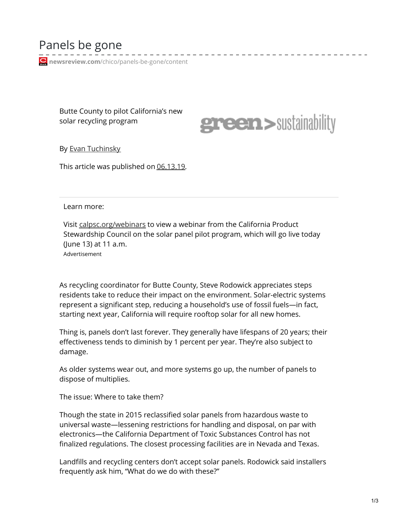## Panels be gone

-------------------**newsreview.com**[/chico/panels-be-gone/content](https://www.newsreview.com/chico/panels-be-gone/content?oid=28265211)

Butte County to pilot California's new solar recycling program



By Evan [Tuchinsky](https://www.newsreview.com/chico/evan-tuchinsky/author)

This article was published on [06.13.19](https://www.newsreview.com/chico/2019-06-13/archive).

Learn more:

Visit [calpsc.org/webinars](http://calpsc.org/webinars) to view a webinar from the California Product Stewardship Council on the solar panel pilot program, which will go live today (June 13) at 11 a.m. Advertisement

As recycling coordinator for Butte County, Steve Rodowick appreciates steps residents take to reduce their impact on the environment. Solar-electric systems represent a significant step, reducing a household's use of fossil fuels—in fact, starting next year, California will require rooftop solar for all new homes.

Thing is, panels don't last forever. They generally have lifespans of 20 years; their effectiveness tends to diminish by 1 percent per year. They're also subject to damage.

As older systems wear out, and more systems go up, the number of panels to dispose of multiplies.

The issue: Where to take them?

Though the state in 2015 reclassified solar panels from hazardous waste to universal waste—lessening restrictions for handling and disposal, on par with electronics—the California Department of Toxic Substances Control has not finalized regulations. The closest processing facilities are in Nevada and Texas.

Landfills and recycling centers don't accept solar panels. Rodowick said installers frequently ask him, "What do we do with these?"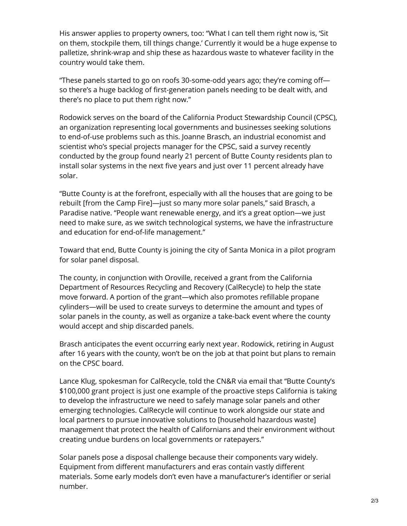His answer applies to property owners, too: "What I can tell them right now is, 'Sit on them, stockpile them, till things change.' Currently it would be a huge expense to palletize, shrink-wrap and ship these as hazardous waste to whatever facility in the country would take them.

"These panels started to go on roofs 30-some-odd years ago; they're coming off so there's a huge backlog of first-generation panels needing to be dealt with, and there's no place to put them right now."

Rodowick serves on the board of the California Product Stewardship Council (CPSC), an organization representing local governments and businesses seeking solutions to end-of-use problems such as this. Joanne Brasch, an industrial economist and scientist who's special projects manager for the CPSC, said a survey recently conducted by the group found nearly 21 percent of Butte County residents plan to install solar systems in the next five years and just over 11 percent already have solar.

"Butte County is at the forefront, especially with all the houses that are going to be rebuilt [from the Camp Fire]—just so many more solar panels," said Brasch, a Paradise native. "People want renewable energy, and it's a great option—we just need to make sure, as we switch technological systems, we have the infrastructure and education for end-of-life management."

Toward that end, Butte County is joining the city of Santa Monica in a pilot program for solar panel disposal.

The county, in conjunction with Oroville, received a grant from the California Department of Resources Recycling and Recovery (CalRecycle) to help the state move forward. A portion of the grant—which also promotes refillable propane cylinders—will be used to create surveys to determine the amount and types of solar panels in the county, as well as organize a take-back event where the county would accept and ship discarded panels.

Brasch anticipates the event occurring early next year. Rodowick, retiring in August after 16 years with the county, won't be on the job at that point but plans to remain on the CPSC board.

Lance Klug, spokesman for CalRecycle, told the CN&R via email that "Butte County's \$100,000 grant project is just one example of the proactive steps California is taking to develop the infrastructure we need to safely manage solar panels and other emerging technologies. CalRecycle will continue to work alongside our state and local partners to pursue innovative solutions to [household hazardous waste] management that protect the health of Californians and their environment without creating undue burdens on local governments or ratepayers."

Solar panels pose a disposal challenge because their components vary widely. Equipment from different manufacturers and eras contain vastly different materials. Some early models don't even have a manufacturer's identifier or serial number.